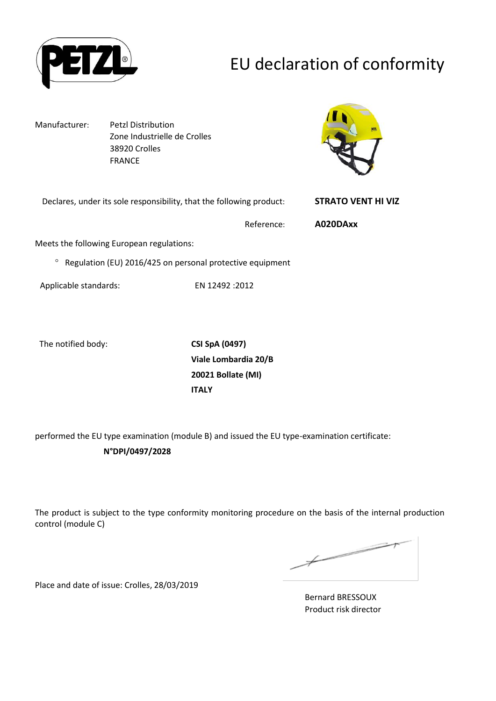

# EU declaration of conformity

Manufacturer: Petzl Distribution Zone Industrielle de Crolles 38920 Crolles FRANCE



| Declares, under its sole responsibility, that the following product:   | <b>STRATO VENT HI VIZ</b> |
|------------------------------------------------------------------------|---------------------------|
| Reference:                                                             | A020DAxx                  |
| Meets the following European regulations:                              |                           |
| <sup>o</sup> Regulation (EU) 2016/425 on personal protective equipment |                           |
|                                                                        |                           |

Applicable standards: EN 12492 :2012

The notified body: **CSI SpA (0497)**

**Viale Lombardia 20/B 20021 Bollate (MI) ITALY**

performed the EU type examination (module B) and issued the EU type-examination certificate:

### **N°DPI/0497/2028**

The product is subject to the type conformity monitoring procedure on the basis of the internal production control (module C)

 $\overbrace{\phantom{aaaaa}}^{x}$ 

Place and date of issue: Crolles, 28/03/2019

Bernard BRESSOUX Product risk director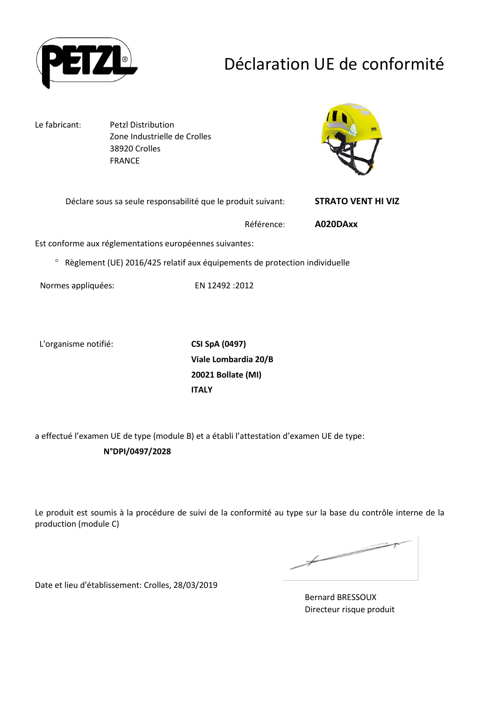

## Déclaration UE de conformité

Le fabricant: Petzl Distribution Zone Industrielle de Crolles 38920 Crolles FRANCE



| Déclare sous sa seule responsabilité que le produit suivant: | <b>STRATO VENT HI VIZ</b> |
|--------------------------------------------------------------|---------------------------|
| Référence:                                                   | A020DAxx                  |
|                                                              |                           |

Est conforme aux réglementations européennes suivantes:

<sup>o</sup> Règlement (UE) 2016/425 relatif aux équipements de protection individuelle

Normes appliquées: EN 12492 :2012

L'organisme notifié: **CSI SpA (0497)**

**Viale Lombardia 20/B 20021 Bollate (MI) ITALY**

a effectué l'examen UE de type (module B) et a établi l'attestation d'examen UE de type: **N°DPI/0497/2028**

Le produit est soumis à la procédure de suivi de la conformité au type sur la base du contrôle interne de la production (module C)

 $\overbrace{\phantom{aaaaa}}^{x}$ 

Date et lieu d'établissement: Crolles, 28/03/2019

Bernard BRESSOUX Directeur risque produit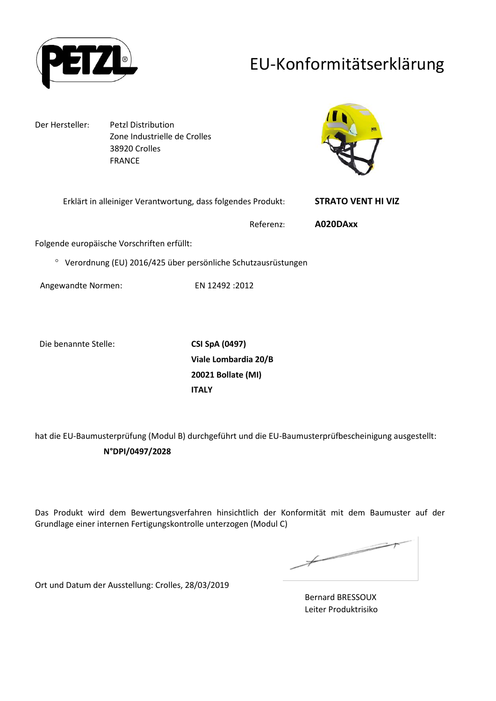

## EU-Konformitätserklärung

Der Hersteller: Petzl Distribution Zone Industrielle de Crolles 38920 Crolles FRANCE



| Erklärt in alleiniger Verantwortung, dass folgendes Produkt:            | <b>STRATO VENT HI VIZ</b> |  |
|-------------------------------------------------------------------------|---------------------------|--|
| Referenz:                                                               | A020DAxx                  |  |
| Folgende europäische Vorschriften erfüllt:                              |                           |  |
| Verordnung (EU) 2016/425 über persönliche Schutzausrüstungen<br>$\circ$ |                           |  |

Angewandte Normen: EN 12492 :2012

Die benannte Stelle: **CSI SpA (0497)**

**Viale Lombardia 20/B 20021 Bollate (MI) ITALY**

hat die EU-Baumusterprüfung (Modul B) durchgeführt und die EU-Baumusterprüfbescheinigung ausgestellt: **N°DPI/0497/2028**

Das Produkt wird dem Bewertungsverfahren hinsichtlich der Konformität mit dem Baumuster auf der Grundlage einer internen Fertigungskontrolle unterzogen (Modul C)

 $\not\!\!\!/-$ 

Ort und Datum der Ausstellung: Crolles, 28/03/2019

Bernard BRESSOUX Leiter Produktrisiko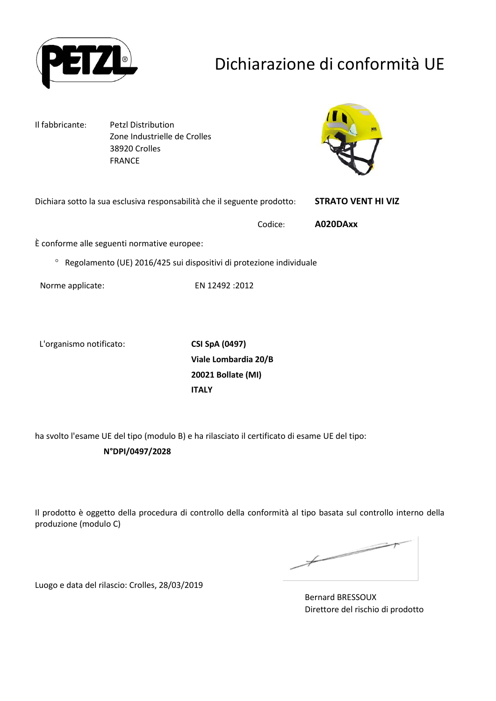

# Dichiarazione di conformità UE

Il fabbricante: Petzl Distribution Zone Industrielle de Crolles 38920 Crolles FRANCE



Dichiara sotto la sua esclusiva responsabilità che il seguente prodotto: **STRATO VENT HI VIZ** Codice: **A020DAxx**

È conforme alle seguenti normative europee:

<sup>o</sup> Regolamento (UE) 2016/425 sui dispositivi di protezione individuale

Norme applicate: EN 12492 :2012

L'organismo notificato: **CSI SpA (0497)**

**Viale Lombardia 20/B 20021 Bollate (MI) ITALY**

ha svolto l'esame UE del tipo (modulo B) e ha rilasciato il certificato di esame UE del tipo:

**N°DPI/0497/2028**

Il prodotto è oggetto della procedura di controllo della conformità al tipo basata sul controllo interno della produzione (modulo C)

 $\overbrace{\phantom{aaaaa}}^{x}$ 

Luogo e data del rilascio: Crolles, 28/03/2019

Bernard BRESSOUX Direttore del rischio di prodotto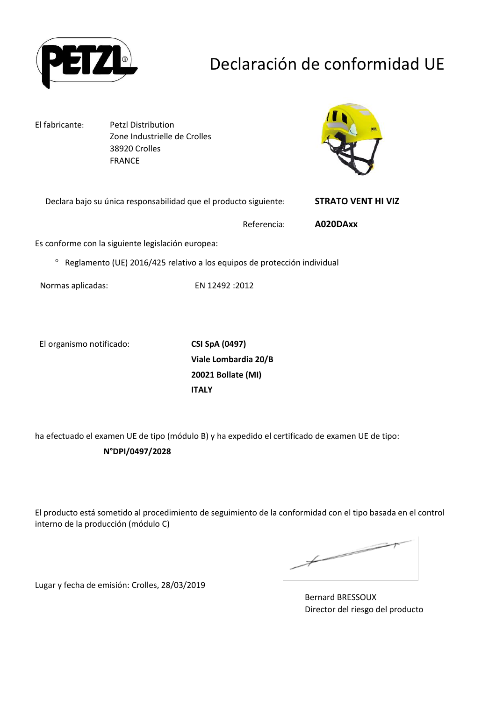

## Declaración de conformidad UE

El fabricante: Petzl Distribution Zone Industrielle de Crolles 38920 Crolles FRANCE



Declara bajo su única responsabilidad que el producto siguiente: **STRATO VENT HI VIZ**

Referencia: **A020DAxx**

Es conforme con la siguiente legislación europea:

Reglamento (UE) 2016/425 relativo a los equipos de protección individual

Normas aplicadas: EN 12492 :2012

El organismo notificado: **CSI SpA (0497)**

**Viale Lombardia 20/B 20021 Bollate (MI) ITALY**

ha efectuado el examen UE de tipo (módulo B) y ha expedido el certificado de examen UE de tipo:

#### **N°DPI/0497/2028**

El producto está sometido al procedimiento de seguimiento de la conformidad con el tipo basada en el control interno de la producción (módulo C)

Lugar y fecha de emisión: Crolles, 28/03/2019

Bernard BRESSOUX Director del riesgo del producto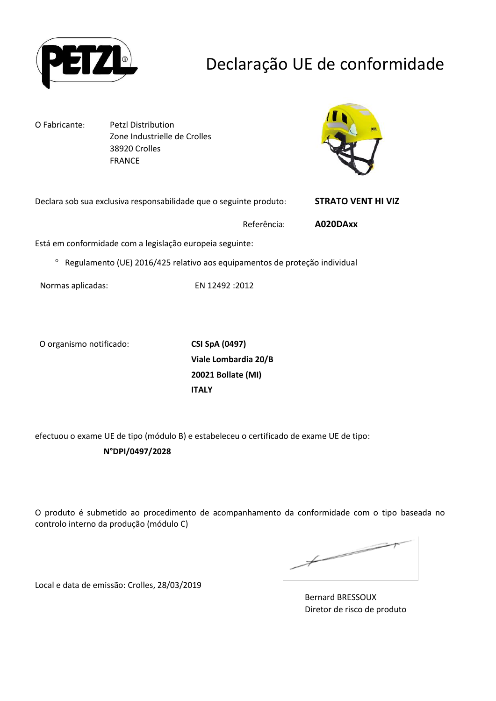

## Declaração UE de conformidade

O Fabricante: Petzl Distribution Zone Industrielle de Crolles 38920 Crolles FRANCE



Declara sob sua exclusiva responsabilidade que o seguinte produto: **STRATO VENT HI VIZ**

Referência: **A020DAxx**

Está em conformidade com a legislação europeia seguinte:

Regulamento (UE) 2016/425 relativo aos equipamentos de proteção individual

Normas aplicadas: EN 12492 :2012

O organismo notificado: **CSI SpA (0497)**

**Viale Lombardia 20/B 20021 Bollate (MI) ITALY**

efectuou o exame UE de tipo (módulo B) e estabeleceu o certificado de exame UE de tipo:

#### **N°DPI/0497/2028**

O produto é submetido ao procedimento de acompanhamento da conformidade com o tipo baseada no controlo interno da produção (módulo C)

Local e data de emissão: Crolles, 28/03/2019

Bernard BRESSOUX Diretor de risco de produto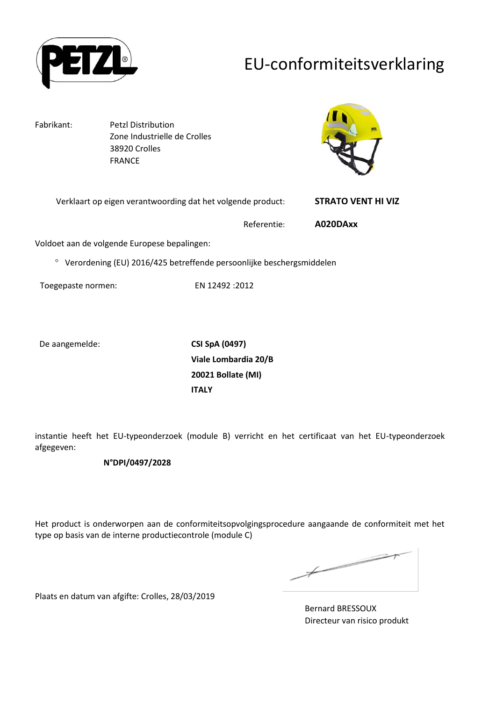

## EU-conformiteitsverklaring

Fabrikant: Petzl Distribution Zone Industrielle de Crolles 38920 Crolles FRANCE



| Verklaart op eigen verantwoording dat het volgende product: | <b>STRATO VENT HI VIZ</b> |
|-------------------------------------------------------------|---------------------------|
|                                                             |                           |

Referentie: **A020DAxx**

Voldoet aan de volgende Europese bepalingen:

Verordening (EU) 2016/425 betreffende persoonlijke beschergsmiddelen

Toegepaste normen: EN 12492 :2012

De aangemelde: **CSI SpA (0497)**

**Viale Lombardia 20/B 20021 Bollate (MI) ITALY**

instantie heeft het EU-typeonderzoek (module B) verricht en het certificaat van het EU-typeonderzoek afgegeven:

#### **N°DPI/0497/2028**

Het product is onderworpen aan de conformiteitsopvolgingsprocedure aangaande de conformiteit met het type op basis van de interne productiecontrole (module C)

Plaats en datum van afgifte: Crolles, 28/03/2019

Bernard BRESSOUX Directeur van risico produkt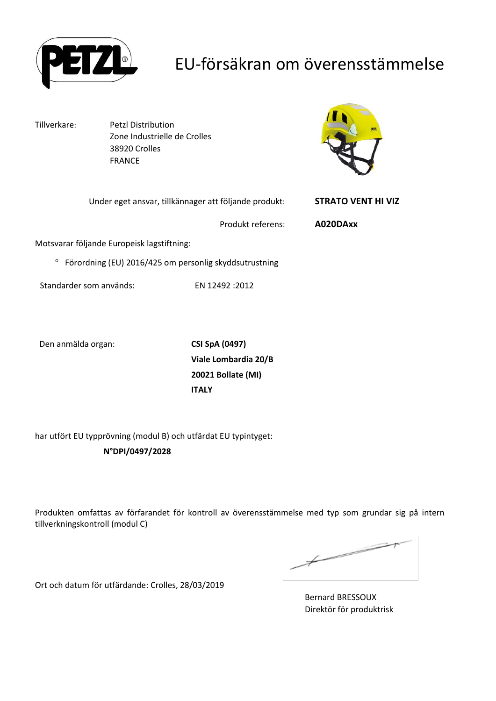

## EU-försäkran om överensstämmelse

Motsvarar

Tillverkare: Petzl Distribution Zone Industrielle de Crolles 38920 Crolles FRANCE



| <b>STRATO VENT HI VIZ</b> | Under eget ansvar, tillkännager att följande produkt:               |                                            |
|---------------------------|---------------------------------------------------------------------|--------------------------------------------|
| A020DAxx                  | Produkt referens:                                                   |                                            |
|                           |                                                                     | Aotsvarar följande Europeisk lagstiftning: |
|                           | <sup>o</sup> Förordning (EU) 2016/425 om personlig skyddsutrustning |                                            |
|                           | EN 12492 : 2012                                                     | Standarder som används:                    |

Den anmälda organ: **CSI SpA (0497)**

**Viale Lombardia 20/B 20021 Bollate (MI) ITALY**

har utfört EU typprövning (modul B) och utfärdat EU typintyget:

**N°DPI/0497/2028**

Produkten omfattas av förfarandet för kontroll av överensstämmelse med typ som grundar sig på intern tillverkningskontroll (modul C)

 $\not\vdash$ 

Ort och datum för utfärdande: Crolles, 28/03/2019

Bernard BRESSOUX Direktör för produktrisk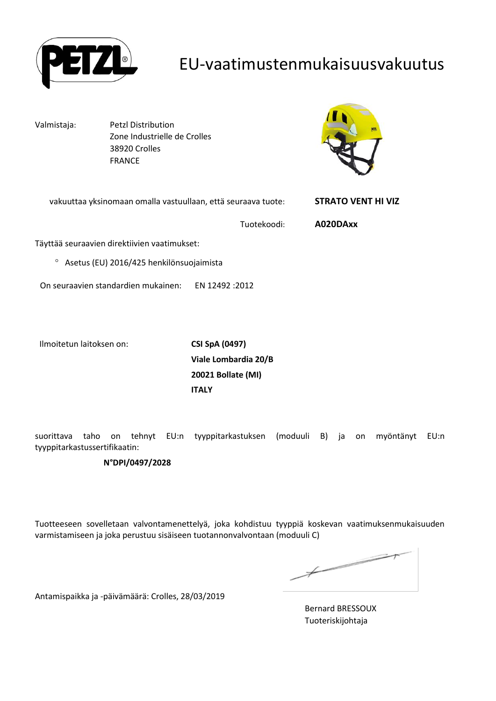

## EU-vaatimustenmukaisuusvakuutus

Valmistaja: Petzl Distribution Zone Industrielle de Crolles 38920 Crolles FRANCE



| vakuuttaa yksinomaan omalla vastuullaan, että seuraava tuote: | <b>STRATO VENT HI VIZ</b> |
|---------------------------------------------------------------|---------------------------|
| Tuotekoodi:                                                   | A020DAxx                  |
| Täyttää seuraavien direktiivien vaatimukset:                  |                           |
| Asetus (EU) 2016/425 henkilönsuojaimista<br>$\circ$           |                           |
| On seuraavien standardien mukainen:<br>EN 12492 :2012         |                           |
|                                                               |                           |

Ilmoitetun laitoksen on: **CSI SpA (0497)**

**Viale Lombardia 20/B 20021 Bollate (MI) ITALY**

suorittava taho on tehnyt EU:n tyyppitarkastuksen (moduuli B) ja on myöntänyt EU:n tyyppitarkastussertifikaatin:

#### **N°DPI/0497/2028**

Tuotteeseen sovelletaan valvontamenettelyä, joka kohdistuu tyyppiä koskevan vaatimuksenmukaisuuden varmistamiseen ja joka perustuu sisäiseen tuotannonvalvontaan (moduuli C)

and the contract of the contract of the contract of the contract of the contract of the contract of the contract of the contract of the contract of the contract of the contract of the contract of the contract of the contra  $\not\!\!\!-\!\!\!-$ 

Antamispaikka ja -päivämäärä: Crolles, 28/03/2019

Bernard BRESSOUX Tuoteriskijohtaja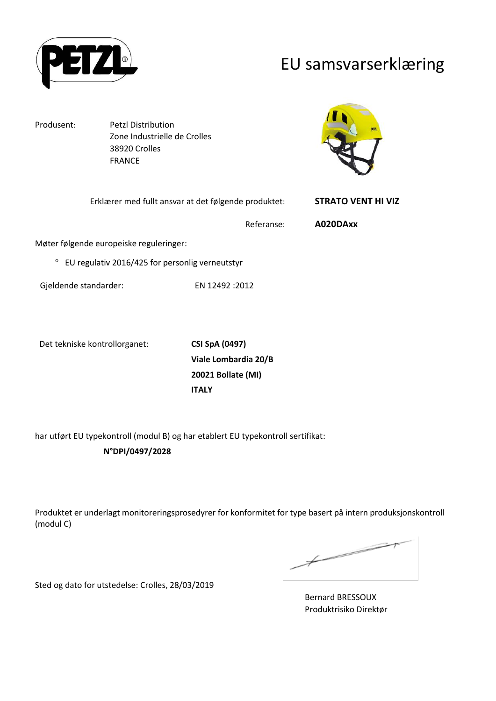

## EU samsvarserklæring

Produsent: Petzl Distribution Zone Industrielle de Crolles 38920 Crolles FRANCE



| Erklærer med fullt ansvar at det følgende produktet:       |                | <b>STRATO VENT HI VIZ</b> |
|------------------------------------------------------------|----------------|---------------------------|
|                                                            | Referanse:     | A020DAxx                  |
| Møter følgende europeiske reguleringer:                    |                |                           |
| $\circ$<br>EU regulativ 2016/425 for personlig verneutstyr |                |                           |
| Gjeldende standarder:                                      | EN 12492 :2012 |                           |

Det tekniske kontrollorganet: **CSI SpA (0497)**

**Viale Lombardia 20/B 20021 Bollate (MI) ITALY**

har utført EU typekontroll (modul B) og har etablert EU typekontroll sertifikat: **N°DPI/0497/2028**

Produktet er underlagt monitoreringsprosedyrer for konformitet for type basert på intern produksjonskontroll (modul C)

 $\not\hspace{-1.8mm}$ 

Sted og dato for utstedelse: Crolles, 28/03/2019

Bernard BRESSOUX Produktrisiko Direktør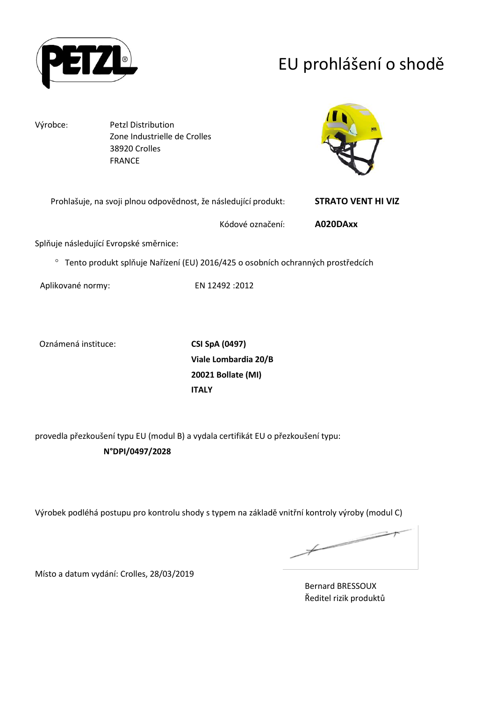

# EU prohlášení o shodě

Výrobce: Petzl Distribution Zone Industrielle de Crolles 38920 Crolles FRANCE



| Prohlašuje, na svoji plnou odpovědnost, že následující produkt: |                  | <b>STRATO VENT HI VIZ</b> |
|-----------------------------------------------------------------|------------------|---------------------------|
|                                                                 | Kódové označení: | A020DAxx                  |

Splňuje následující Evropské směrnice:

Tento produkt splňuje Nařízení (EU) 2016/425 o osobních ochranných prostředcích

Aplikované normy: EN 12492 :2012

Oznámená instituce: **CSI SpA (0497)**

**Viale Lombardia 20/B 20021 Bollate (MI) ITALY**

provedla přezkoušení typu EU (modul B) a vydala certifikát EU o přezkoušení typu: **N°DPI/0497/2028**

Výrobek podléhá postupu pro kontrolu shody s typem na základě vnitřní kontroly výroby (modul C)

 $\overbrace{\phantom{aaaaa}}^{x}$ 

Místo a datum vydání: Crolles, 28/03/2019

Bernard BRESSOUX Ředitel rizik produktů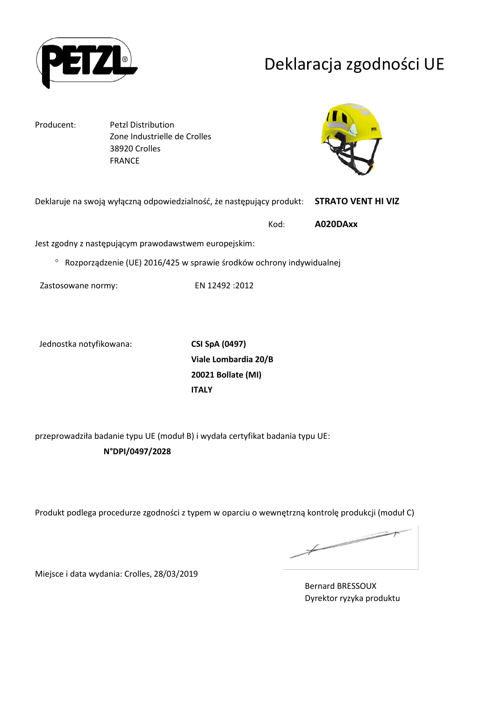

## Deklaracja zgodności UE

Producent: Petzl Distribution Zone Industrielle de Crolles 38920 Crolles FRANCE



| Deklaruje na swoją wyłączną odpowiedzialność, że następujący produkt:             |      | <b>STRATO VENT HI VIZ</b> |
|-----------------------------------------------------------------------------------|------|---------------------------|
|                                                                                   | Kod: | A020DAxx                  |
| Jest zgodny z następującym prawodawstwem europejskim:                             |      |                           |
| <sup>o</sup> Rozporządzenie (UE) 2016/425 w sprawie środków ochrony indywidualnej |      |                           |

Zastosowane normy: EN 12492 :2012

Jednostka notyfikowana: **CSI SpA (0497)**

**Viale Lombardia 20/B 20021 Bollate (MI) ITALY**

przeprowadziła badanie typu UE (moduł B) i wydała certyfikat badania typu UE: **N°DPI/0497/2028**

Produkt podlega procedurze zgodności z typem w oparciu o wewnętrzną kontrolę produkcji (moduł C)

 $\overbrace{\phantom{aaaaa}}^{x}$ 

Miejsce i data wydania: Crolles, 28/03/2019

Bernard BRESSOUX Dyrektor ryzyka produktu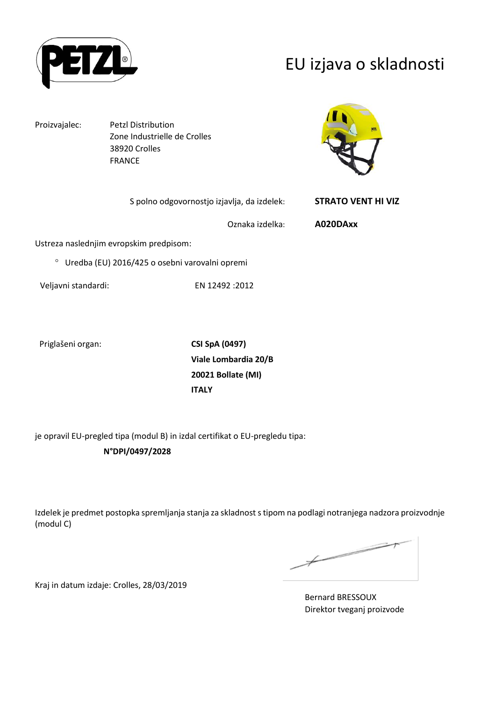

## EU izjava o skladnosti

Proizvajalec: Petzl Distribution

Zone Industrielle de Crolles 38920 Crolles FRANCE



| S polno odgovornostjo izjavlja, da izdelek:                 | <b>STRATO VENT HI VIZ</b> |
|-------------------------------------------------------------|---------------------------|
| Oznaka izdelka:                                             | A020DAxx                  |
| Ustreza naslednjim evropskim predpisom:                     |                           |
| <sup>o</sup> Uredba (EU) 2016/425 o osebni varovalni opremi |                           |

Priglašeni organ: **CSI SpA (0497)**

**Viale Lombardia 20/B 20021 Bollate (MI) ITALY**

je opravil EU-pregled tipa (modul B) in izdal certifikat o EU-pregledu tipa:

### **N°DPI/0497/2028**

Veljavni standardi: EN 12492 :2012

Izdelek je predmet postopka spremljanja stanja za skladnost s tipom na podlagi notranjega nadzora proizvodnje (modul C)

 $\not\hspace{-1.2mm}$ 

Kraj in datum izdaje: Crolles, 28/03/2019

Bernard BRESSOUX Direktor tveganj proizvode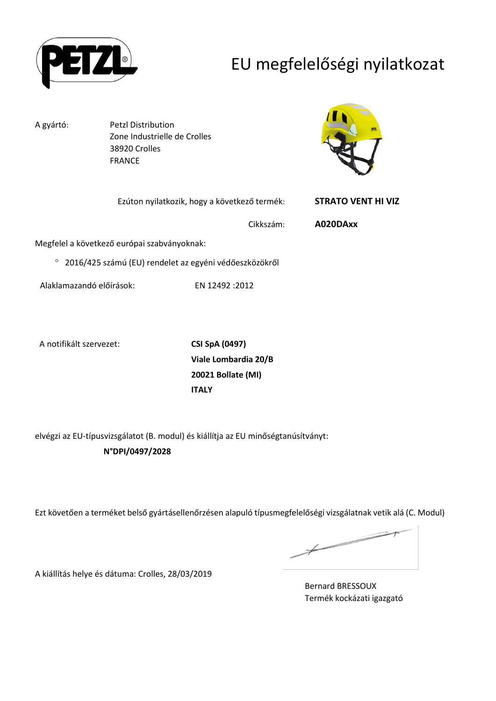

# EU megfelelőségi nyilatkozat

A gyártó: Petzl Distribution Zone Industrielle de Crolles 38920 Crolles FRANCE



| Ezúton nyilatkozik, hogy a következő termék: |                                             | <b>STRATO VENT HI VIZ</b> |          |
|----------------------------------------------|---------------------------------------------|---------------------------|----------|
|                                              |                                             | Cikkszám:                 | A020DAxx |
|                                              | Megfelel a következő európai szabványoknak: |                           |          |

2016/425 számú (EU) rendelet az egyéni védőeszközökről

Alaklamazandó előírások: EN 12492 :2012

A notifikált szervezet: **CSI SpA (0497)**

**Viale Lombardia 20/B 20021 Bollate (MI) ITALY**

elvégzi az EU-típusvizsgálatot (B. modul) és kiállítja az EU minőségtanúsítványt: **N°DPI/0497/2028**

Ezt követően a terméket belső gyártásellenőrzésen alapuló típusmegfelelőségi vizsgálatnak vetik alá (C. Modul)

 $\overbrace{\phantom{aaaaa}}^{ }$ 

A kiállítás helye és dátuma: Crolles, 28/03/2019

Bernard BRESSOUX Termék kockázati igazgató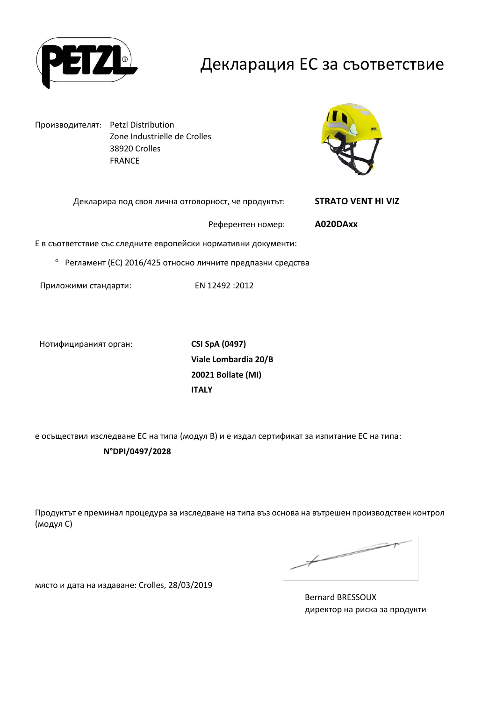

## Декларация ЕС за съответствие

Производителят: Petzl Distribution Zone Industrielle de Crolles 38920 Crolles FRANCE



| Декларира под своя лична отговорност, че продуктът:            | <b>STRATO VENT HI VIZ</b> |
|----------------------------------------------------------------|---------------------------|
| Референтен номер:                                              | A020DAxx                  |
| Е в съответствие със следните европейски нормативни документи: |                           |
| • Регламент (ЕС) 2016/425 относно личните предпазни средства   |                           |
|                                                                |                           |

Приложими стандарти: EN 12492 :2012

Нотифицираният орган: **CSI SpA (0497)**

**Viale Lombardia 20/B 20021 Bollate (MI) ITALY**

е осъществил изследване ЕС на типа (модул В) и е издал сертификат за изпитание ЕС на типа:

**N°DPI/0497/2028**

Продуктът е преминал процедура за изследване на типа въз основа на вътрешен производствен контрол (модул С)

 $\not\hspace{-1.2mm}$ 

място и дата на издаване: Crolles, 28/03/2019

Bernard BRESSOUX директор на риска за продукти